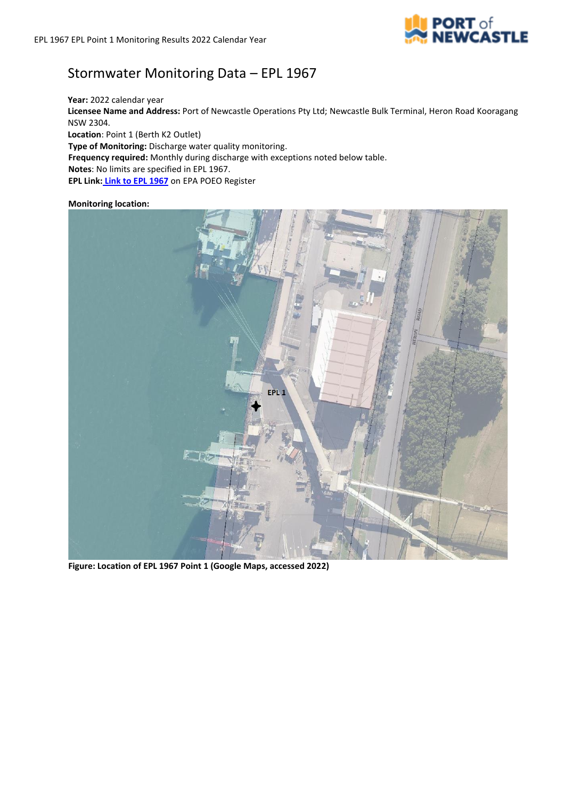

## Stormwater Monitoring Data – EPL 1967

**Year:** 2022 calendar year **Licensee Name and Address:** Port of Newcastle Operations Pty Ltd; Newcastle Bulk Terminal, Heron Road Kooragang NSW 2304. **Location**: Point 1 (Berth K2 Outlet) **Type of Monitoring:** Discharge water quality monitoring. **Frequency required:** Monthly during discharge with exceptions noted below table. **Notes**: No limits are specified in EPL 1967.

**EPL Link: [Link to EPL 1967](https://apps.epa.nsw.gov.au/prpoeoapp/ViewPOEOLicence.aspx?DOCID=230969&SYSUID=1&LICID=1967)** on EPA POEO Register

## **Monitoring location:**



**Figure: Location of EPL 1967 Point 1 (Google Maps, accessed 2022)**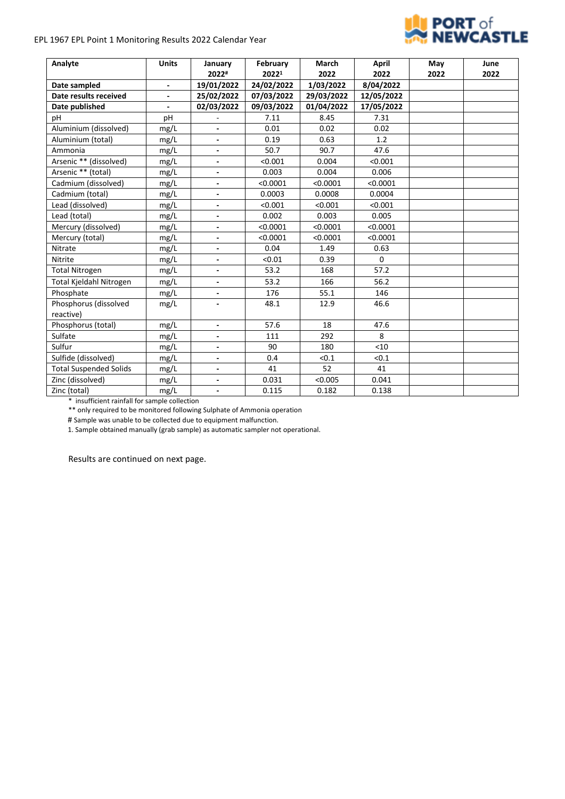## EPL 1967 EPL Point 1 Monitoring Results 2022 Calendar Year



| Analyte                       | <b>Units</b>             | January                      | February   | March      | April      | May  | June |
|-------------------------------|--------------------------|------------------------------|------------|------------|------------|------|------|
|                               |                          | 2022#                        | 20221      | 2022       | 2022       | 2022 | 2022 |
| Date sampled                  | $\overline{\phantom{a}}$ | 19/01/2022                   | 24/02/2022 | 1/03/2022  | 8/04/2022  |      |      |
| Date results received         | $\overline{\phantom{0}}$ | 25/02/2022                   | 07/03/2022 | 29/03/2022 | 12/05/2022 |      |      |
| Date published                |                          | 02/03/2022                   | 09/03/2022 | 01/04/2022 | 17/05/2022 |      |      |
| рH                            | pH                       |                              | 7.11       | 8.45       | 7.31       |      |      |
| Aluminium (dissolved)         | mg/L                     |                              | 0.01       | 0.02       | 0.02       |      |      |
| Aluminium (total)             | mg/L                     | $\overline{\phantom{a}}$     | 0.19       | 0.63       | 1.2        |      |      |
| Ammonia                       | mg/L                     |                              | 50.7       | 90.7       | 47.6       |      |      |
| Arsenic ** (dissolved)        | mg/L                     | $\overline{\phantom{a}}$     | < 0.001    | 0.004      | < 0.001    |      |      |
| Arsenic ** (total)            | mg/L                     | $\overline{\phantom{a}}$     | 0.003      | 0.004      | 0.006      |      |      |
| Cadmium (dissolved)           | mg/L                     | $\overline{\phantom{a}}$     | < 0.0001   | < 0.0001   | < 0.0001   |      |      |
| Cadmium (total)               | mg/L                     | $\overline{\phantom{a}}$     | 0.0003     | 0.0008     | 0.0004     |      |      |
| Lead (dissolved)              | mg/L                     | $\blacksquare$               | < 0.001    | < 0.001    | < 0.001    |      |      |
| Lead (total)                  | mg/L                     | $\overline{\phantom{a}}$     | 0.002      | 0.003      | 0.005      |      |      |
| Mercury (dissolved)           | mg/L                     | $\overline{\phantom{a}}$     | < 0.0001   | < 0.0001   | < 0.0001   |      |      |
| Mercury (total)               | mg/L                     | $\qquad \qquad \blacksquare$ | < 0.0001   | < 0.0001   | < 0.0001   |      |      |
| Nitrate                       | mg/L                     | $\overline{\phantom{a}}$     | 0.04       | 1.49       | 0.63       |      |      |
| Nitrite                       | mg/L                     | $\qquad \qquad \blacksquare$ | < 0.01     | 0.39       | $\Omega$   |      |      |
| <b>Total Nitrogen</b>         | mg/L                     | $\overline{\phantom{a}}$     | 53.2       | 168        | 57.2       |      |      |
| Total Kjeldahl Nitrogen       | mg/L                     | $\overline{\phantom{a}}$     | 53.2       | 166        | 56.2       |      |      |
| Phosphate                     | mg/L                     | $\overline{a}$               | 176        | 55.1       | 146        |      |      |
| Phosphorus (dissolved         | mg/L                     | $\qquad \qquad \blacksquare$ | 48.1       | 12.9       | 46.6       |      |      |
| reactive)                     |                          |                              |            |            |            |      |      |
| Phosphorus (total)            | mg/L                     | $\blacksquare$               | 57.6       | 18         | 47.6       |      |      |
| Sulfate                       | mg/L                     | $\overline{\phantom{a}}$     | 111        | 292        | 8          |      |      |
| Sulfur                        | mg/L                     | $\overline{\phantom{a}}$     | 90         | 180        | <10        |      |      |
| Sulfide (dissolved)           | mg/L                     | $\qquad \qquad \blacksquare$ | 0.4        | < 0.1      | < 0.1      |      |      |
| <b>Total Suspended Solids</b> | mg/L                     | $\overline{\phantom{a}}$     | 41         | 52         | 41         |      |      |
| Zinc (dissolved)              | mg/L                     | $\qquad \qquad \blacksquare$ | 0.031      | < 0.005    | 0.041      |      |      |
| Zinc (total)                  | mg/L                     | $\overline{\phantom{a}}$     | 0.115      | 0.182      | 0.138      |      |      |

\* insufficient rainfall for sample collection

\*\* only required to be monitored following Sulphate of Ammonia operation

# Sample was unable to be collected due to equipment malfunction.

1. Sample obtained manually (grab sample) as automatic sampler not operational.

Results are continued on next page.